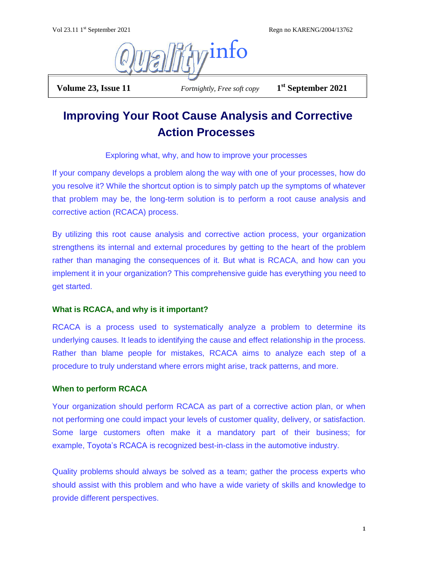Regn no KARENG/2004/13762



**Volume 23, Issue 11** *Fortnightly, Free soft copy* 

**st September 2021**

# **Improving Your Root Cause Analysis and Corrective Action Processes**

Exploring what, why, and how to improve your processes

If your company develops a problem along the way with one of your processes, how do you resolve it? While the shortcut option is to simply patch up the symptoms of whatever that problem may be, the long-term solution is to perform a root cause analysis and corrective action [\(RCACA\)](https://www.cmtc.com/blog/lean-principles-and-tools) process.

By utilizing this root cause analysis and corrective action process, your organization strengthens its internal and external procedures by getting to the heart of the problem rather than managing the consequences of it. But what is RCACA, and how can you implement it in your organization? This comprehensive guide has everything you need to get started.

# **What is RCACA, and why is it important?**

RCACA is a process used to systematically analyze a problem to determine its underlying causes. It leads to identifying the cause and effect [relationship in the](https://www.cmtc.com/blog/improve-efficiency-of-manufacturing-workforce) process. Rather than blame people for mistakes, RCACA aims to analyze each step of a procedure to truly understand where errors might arise, track patterns, and more.

# **When to perform RCACA**

Your organization should perform RCACA as part of a corrective action plan, or when not performing one could impact your levels of customer quality, delivery, or satisfaction. Some large customers often make it a mandatory part of their business; for example, [Toyota's RCACA](https://kanbanize.com/lean-management/improvement/5-whys-analysis-tool) is recognized best-in-class in the automotive industry.

[Quality problems](https://www.cmtc.com/blog/6-ways-to-improve-product-quality-in-food-manufacturing) should always be solved as a team; gather the process experts who should assist with this problem and who have a wide variety of skills and knowledge to provide different perspectives.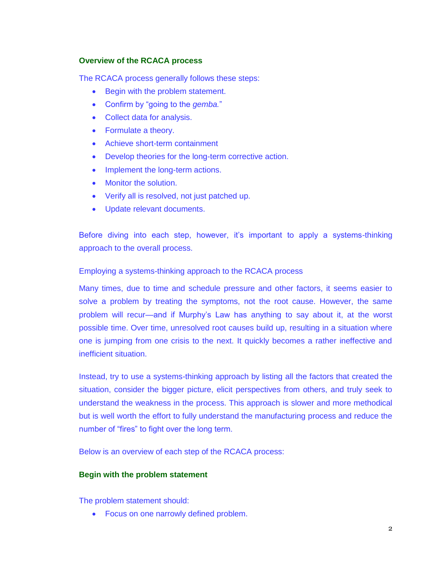## **Overview of the RCACA process**

The RCACA process generally follows these steps:

- Begin with the problem statement.
- Confirm by "going to the *gemba.*"
- Collect data for analysis.
- Formulate a theory.
- Achieve short-term containment
- Develop theories for the long-term corrective action.
- Implement the long-term actions.
- Monitor the solution.
- Verify all is resolved, not just patched up.
- Update relevant documents.

Before diving into each step, however, it's important to apply a systems-thinking approach to the overall process.

## Employing a systems-thinking approach to the RCACA process

Many times, due to time and schedule pressure and other factors, it seems easier to solve a problem by treating the symptoms, not the root cause. However, the same problem will recur—and if Murphy's Law has anything to say about it, at the worst possible time. Over time, unresolved root causes build up, resulting in a situation where one is jumping from one crisis to the next. It quickly becomes a rather ineffective and inefficient situation.

Instead, try to use a systems-thinking approach by listing all the factors that created the situation, consider the bigger picture, elicit perspectives from others, and truly seek to understand the weakness in the process. This approach is slower and more methodical but is well worth the effort to fully understand the manufacturing process and reduce the number of "fires" to fight over the long term.

Below is an overview of each step of the RCACA process:

## **Begin with the problem statement**

The problem statement should:

• Focus on one narrowly defined problem.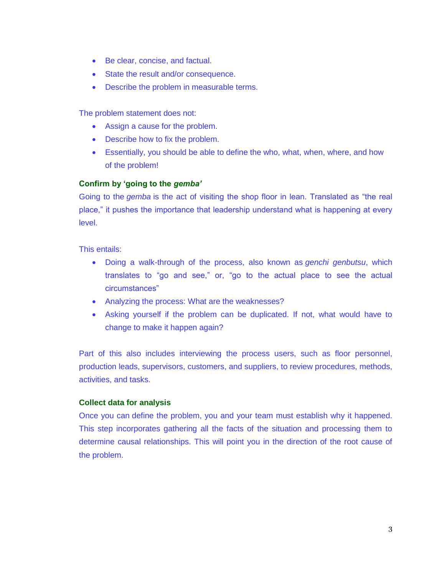- Be clear, concise, and factual.
- State the result and/or consequence.
- Describe the problem in measurable terms.

The problem statement does not:

- Assign a cause for the problem.
- Describe how to fix the problem.
- Essentially, you should be able to define the who, what, when, where, and how of the problem!

## **Confirm by 'going to the** *gemba'*

[Going to the](https://www.cmtc.com/blog/10-manufacturing-blogs-and-podcasts-to-follow) *gemba* is the act of visiting the shop floor in lean. Translated as "the real place," it pushes the importance that leadership understand what is happening at every level.

This entails:

- Doing a walk-through of the process, also known as *genchi genbutsu*, which translates to "go and see," or, "go to the actual place to see the actual circumstances"
- Analyzing the process: What are the weaknesses?
- Asking yourself if the problem can be duplicated. If not, what would have to change to make it happen again?

Part of this also includes interviewing the process users, such as floor personnel, production leads, supervisors, customers, and suppliers, to review procedures, methods, activities, and tasks.

## **Collect data for analysis**

Once you can [define the problem,](https://www.cmtc.com/blog/minimizing-risk-of-food-safety-problems-in-the-processing-industry) you and your team must establish why it happened. This step incorporates gathering all the facts of the situation and processing them to determine causal relationships. This will point you in the direction of the root cause of the problem.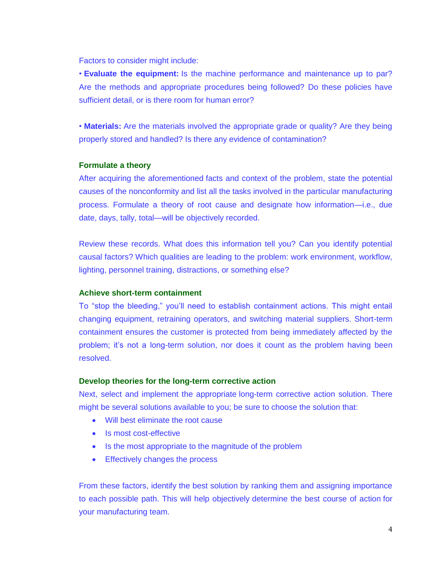Factors to consider might include:

• **Evaluate the equipment:** Is the machine performance and maintenance up to par? Are the methods and appropriate procedures being followed? Do these policies have sufficient detail, or is there room for human error?

• **Materials:** Are the materials involved the appropriate grade or quality? Are they being properly stored and handled? Is there any evidence of contamination?

## **Formulate a theory**

After acquiring the aforementioned [facts and context of the problem,](https://www.cmtc.com/blog/how-to-target-eliminate-company-problems) state the potential causes of the nonconformity and list all the tasks involved in the particular manufacturing process. Formulate a theory of root cause and designate how information—i.e., due date, days, tally, total—will be objectively recorded.

Review these records. What does this information tell you? Can you identify potential causal factors? Which qualities are leading to the problem: work environment, workflow, lighting, personnel training, distractions, or something else?

## **Achieve short-term containment**

To "stop the bleeding," you'll need to establish containment actions. This might entail changing equipment, retraining operators, and switching material suppliers. Short-term containment ensures the customer is protected from being immediately affected by the problem; it's not a long-term solution, nor does it count as the problem having been resolved.

#### **Develop theories for the long-term corrective action**

Next, select and implement the appropriate [long-term corrective action solution.](https://www.cmtc.com/blog/how-to-create-a-change-management-process-that-actually-works) There might be several solutions available to you; be sure to choose the solution that:

- Will best eliminate the root cause
- Is most cost-effective
- Is the most appropriate to the magnitude of the problem
- Effectively changes the process

From these factors, identify the best solution by ranking them and assigning importance to each possible path. This will help objectively [determine the best course of action](https://www.cmtc.com/blog/metrics-for-better-management) for your manufacturing team.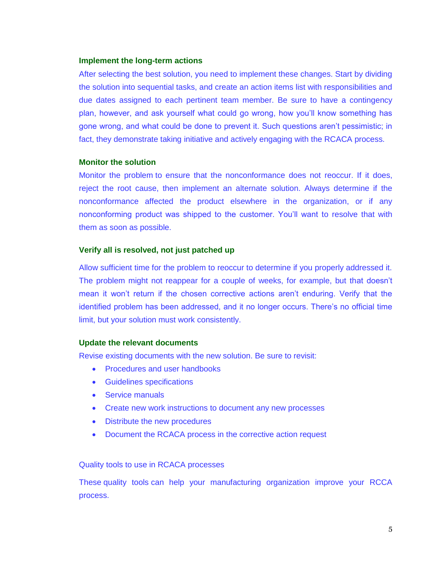#### **Implement the long-term actions**

After selecting the best solution, you need to implement these changes. Start by dividing the solution into sequential tasks, and create an action items list with responsibilities and due dates assigned to each pertinent team member. Be sure to have a contingency plan, however, and ask yourself what could go wrong, how you'll know something has gone wrong, and what could be done to prevent it. Such questions aren't pessimistic; in fact, they demonstrate taking initiative and actively engaging with the RCACA process.

## **Monitor the solution**

[Monitor the problem](https://www.cmtc.com/blog/how-mobile-apps-can-create-a-competitive-advantage-in-manufacturing) to ensure that the nonconformance does not reoccur. If it does, reject the root cause, then implement an alternate solution. Always determine if the nonconformance affected the product elsewhere in the organization, or if any nonconforming product was shipped to the customer. You'll want to resolve that with them as soon as possible.

# **Verify all is resolved, not just patched up**

Allow sufficient time for the problem to reoccur to determine if you properly addressed it. The problem might not reappear for a couple of weeks, for example, but that doesn't mean it won't return if the chosen corrective actions aren't enduring. Verify that the identified problem has been addressed, and it no longer occurs. There's no official time limit, but your solution must work consistently.

#### **Update the relevant documents**

[Revise existing documents](https://www.cmtc.com/blog/be-prepared-for-your-next-quality-audit) with the new solution. Be sure to revisit:

- Procedures and user handbooks
- Guidelines specifications
- Service manuals
- Create new work instructions to document any new processes
- Distribute the new procedures
- Document the RCACA process in the corrective action request

#### Quality tools to use in RCACA processes

These [quality tools](https://www.cmtc.com/blog/the-4-quality-management-issues-on-every-manufacturers-mind) can help your manufacturing organization improve your RCCA process.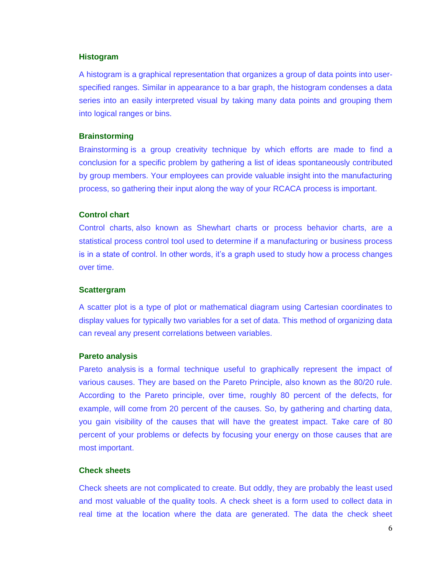## **Histogram**

A histogram is a graphical representation that organizes a group of data points into userspecified ranges. Similar in appearance to a bar graph, the histogram condenses a data series into an easily interpreted visual by taking many data points and grouping them into logical ranges or bins.

#### **Brainstorming**

[Brainstorming](https://www.cmtc.com/blog/how-to-target-eliminate-company-problems) is a group creativity technique by which efforts are made to find a conclusion for a specific problem by gathering a list of ideas spontaneously contributed by group members. Your employees can provide valuable insight into the manufacturing process, so gathering their input along the way of your RCACA process is important.

### **Control chart**

[Control charts,](https://www.cmtc.com/blog/overproduction-effects-on-labor-cost) also known as Shewhart charts or process behavior charts, are a statistical process control tool used to determine if a manufacturing or business process is in a state of control. In other words, it's a graph used to study how a process changes over time.

#### **Scattergram**

A scatter plot is a type of plot or mathematical diagram using Cartesian coordinates to display values for typically two variables for a set of data. This method of organizing data can reveal any present correlations between variables.

#### **Pareto analysis**

[Pareto analysis](https://www.cmtc.com/blog/process-capability-index-six-sigma) is a formal technique useful to graphically represent the impact of various causes. They are based on the Pareto Principle, also known as the 80/20 rule. According to the Pareto principle, over time, roughly 80 percent of the defects, for example, will come from 20 percent of the causes. So, by gathering and charting data, you gain visibility of the causes that will have the greatest impact. Take care of 80 percent of your problems or defects by focusing your energy on those causes that are most important.

#### **Check sheets**

Check sheets are not complicated to create. But oddly, they are probably the least used and most valuable of the [quality tools.](https://www.cmtc.com/quality) A check sheet is a form used to collect data in real time at the location where the data are generated. The data the check sheet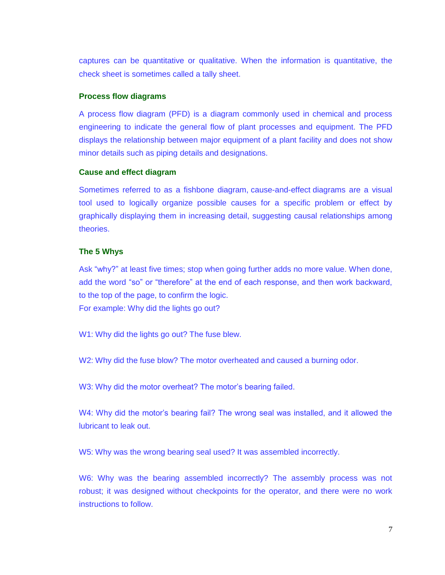captures can be quantitative or qualitative. When the information is quantitative, the check sheet is sometimes called a tally sheet.

## **Process flow diagrams**

A process flow diagram (PFD) is a diagram commonly used in chemical and process engineering to indicate the general flow of plant processes and equipment. The PFD displays the relationship between major equipment of a plant facility and does not show minor details such as piping details and designations.

## **Cause and effect diagram**

Sometimes referred to as a fishbone diagram, [cause-and-effect](https://www.cmtc.com/blog/10-effective-cost-saving-tips-for-manufacturers) diagrams are a visual tool used to logically organize possible causes for a specific problem or effect by graphically displaying them in increasing detail, suggesting causal relationships among theories.

## **The 5 Whys**

Ask ["why?"](https://www.cmtc.com/blog/iso-certified-matters) at least five times; stop when going further adds no more value. When done, add the word "so" or "therefore" at the end of each response, and then work backward, to the top of the page, to confirm the logic.

For example: Why did the lights go out?

W1: Why did the lights go out? The fuse blew.

W2: Why did the fuse blow? The motor overheated and caused a burning odor.

W3: Why did the motor overheat? The motor's bearing failed.

W4: Why did the motor's bearing fail? The wrong seal was installed, and it allowed the lubricant to leak out.

W5: Why was the wrong bearing seal used? It was assembled incorrectly.

W6: Why was the bearing assembled incorrectly? The assembly process was not robust; it was designed without checkpoints for the operator, and there were no work instructions to follow.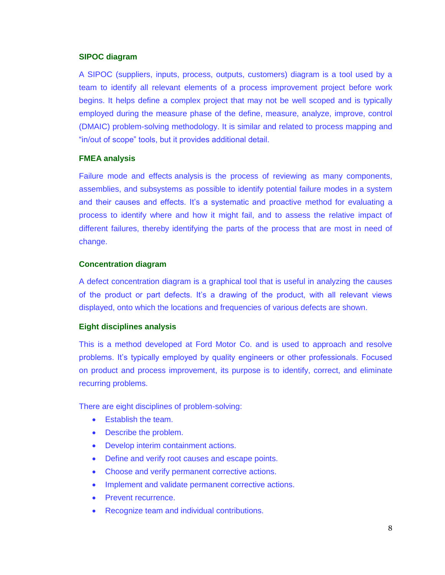## **SIPOC diagram**

A SIPOC (suppliers, inputs, process, outputs, customers) diagram is a tool used by a team to identify all relevant elements of a process improvement project before work begins. It helps define a complex project that may not be well scoped and is typically employed during the measure phase of the define, measure, analyze, improve, control (DMAIC) problem-solving methodology. It is similar and related to process mapping and "in/out of scope" tools, but it provides additional detail.

# **FMEA analysis**

Failure mode and effects [analysis](https://www.cmtc.com/blog/lean-principles-and-tools) is the process of reviewing as many components, assemblies, and subsystems as possible to identify potential failure modes in a system and their causes and effects. It's a systematic and proactive method for evaluating a process to identify where and how it might fail, and to assess the relative impact of different failures, thereby identifying the parts of the process that are most in need of change.

## **Concentration diagram**

A defect concentration diagram is a graphical tool that is useful in analyzing the causes of the product or part defects. It's a drawing of the product, with all relevant views displayed, onto which the locations and frequencies of various defects are shown.

# **Eight disciplines analysis**

This is a method developed at Ford Motor Co. and is used to approach and resolve problems. It's typically employed by quality engineers or other professionals. Focused on product and process improvement, its purpose is to identify, correct, and eliminate recurring problems.

There are [eight disciplines of problem-solving:](https://www.cmtc.com/blog/the-importance-of-a-good-logistics-strategy-in-manufacturing)

- **Establish the team.**
- Describe the problem.
- Develop interim containment actions.
- Define and verify root causes and escape points.
- Choose and verify permanent corrective actions.
- Implement and validate permanent corrective actions.
- Prevent recurrence.
- Recognize team and individual contributions.